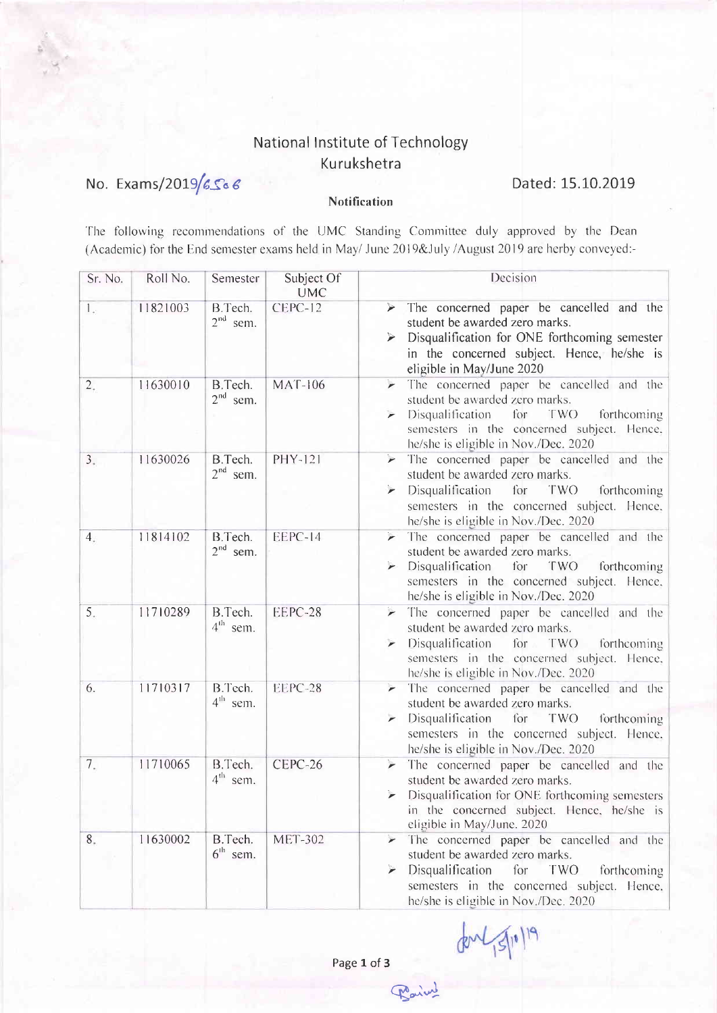## National Institute of Technology Kurukshetra

## No. Exams/2019/6566

## Dated: 15.10.2019

## Notification

The following recommendations of the UMC Standing Committee duly approved by the Dean (Academic) for the End semester exams held in May/ June 2019&July /August 2019 are herby conveyed:-

| Sr. No.                         | Roll No. | Semester                        | Subject Of<br><b>UMC</b> | Decision                                                                                                                                                                                                                             |
|---------------------------------|----------|---------------------------------|--------------------------|--------------------------------------------------------------------------------------------------------------------------------------------------------------------------------------------------------------------------------------|
| L.                              | 11821003 | B.Tech.<br>$2nd$ sem.           | CEPC-12                  | The concerned paper be cancelled and the<br>$\blacktriangleright$<br>student be awarded zero marks.<br>Disqualification for ONE forthcoming semester<br>⋗<br>in the concerned subject. Hence, he/she is<br>eligible in May/June 2020 |
| 2.                              | 11630010 | B.Tech.<br>$2nd$ sem.           | <b>MAT-106</b>           | The concerned paper be cancelled and the<br>student be awarded zero marks.<br>Disqualification for<br>TWO<br>forthcoming<br>semesters in the concerned subject. Hence,<br>he/she is eligible in Nov./Dec. 2020                       |
| 3.                              | 11630026 | B.Tech.<br>$2nd$ sem.           | PHY-121                  | The concerned paper be cancelled and the<br>student be awarded zero marks.<br>Disqualification<br>TWO<br>for<br>forthcoming<br>semesters in the concerned subject. Hence,<br>he/she is eligible in Nov./Dec. 2020                    |
| 4.                              | 11814102 | B.Tech.<br>$2nd$ sem.           | EEPC-14                  | The concerned paper be cancelled and the<br>student be awarded zero marks.<br>Disqualification<br>for<br>TWO<br>forthcoming<br>semesters in the concerned subject. Hence,<br>he/she is eligible in Nov./Dec. 2020                    |
| 5.                              | 11710289 | B.Tech.<br>$4th$ sem.           | EEPC-28                  | The concerned paper be cancelled and the<br>student be awarded zero marks.<br>Disqualification for TWO forthcoming<br>semesters in the concerned subject. Hence,<br>he/she is eligible in Nov./Dec. 2020                             |
| 6.                              | 11710317 | B.Tech.<br>4 <sup>th</sup> sem. | EEPC-28                  | The concerned paper be cancelled and the<br>student be awarded zero marks.<br>Disqualification for<br>TWO<br>forthcoming<br>semesters in the concerned subject. Hence,<br>he/she is eligible in Nov./Dec. 2020                       |
| $7_{\scriptscriptstyle{\circ}}$ | 11710065 | B.Tech.<br>$4^{\text{th}}$ sem. | CEPC-26                  | The concerned paper be cancelled and the<br>$\overline{ }$<br>student be awarded zero marks.<br>Disqualification for ONE forthcoming semesters<br>in the concerned subject. Hence, he/she is<br>eligible in May/June. 2020           |
| 8.                              | 11630002 | B.Tech.<br>$6th$ sem.           | <b>MET-302</b>           | The concerned paper be cancelled and the<br>student be awarded zero marks.<br>Disqualification<br>for<br>TWO<br>forthcoming<br>semesters in the concerned subject. Hence,<br>he/she is eligible in Nov./Dec. 2020                    |

11 Nov.<br>3<br>Paring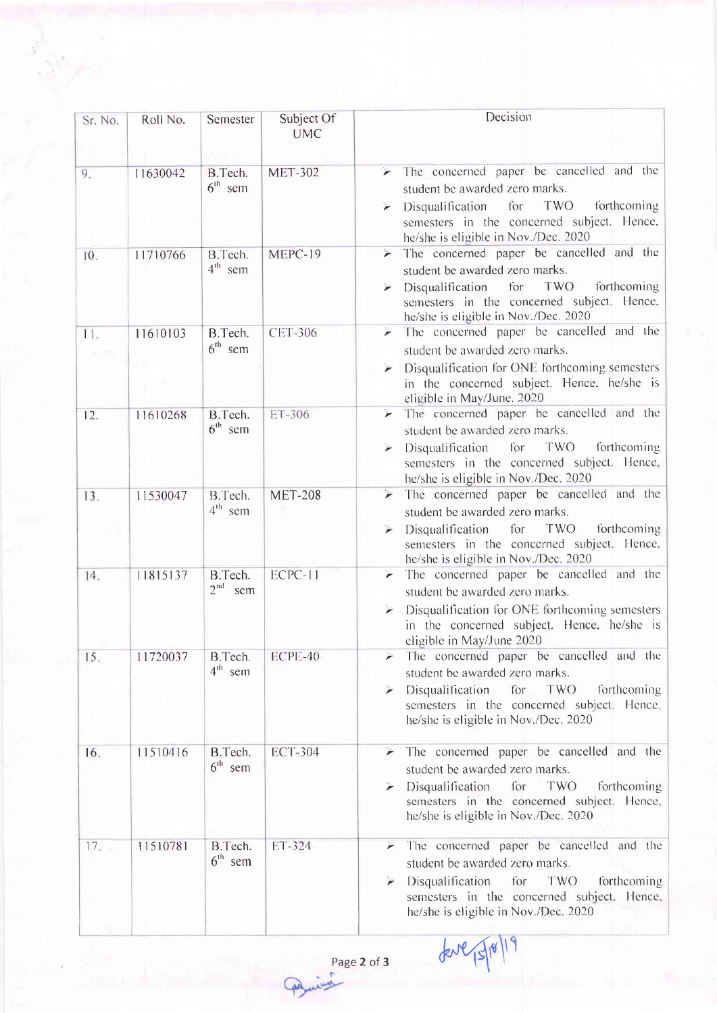| Sr. No. | Roll No. | Semester                          | Subject Of<br><b>UMC</b> | Decision                                                                                                                                                                                                                                           |
|---------|----------|-----------------------------------|--------------------------|----------------------------------------------------------------------------------------------------------------------------------------------------------------------------------------------------------------------------------------------------|
| 9.      | 11630042 | B.Tech.<br>$6th$ sem              | <b>MET-302</b>           | The concerned paper be cancelled and the<br>student be awarded zero marks.<br>$\triangleright$ Disqualification for<br>TWO<br>forthcoming<br>semesters in the concerned subject. Hence,<br>he/she is eligible in Nov./Dec. 2020                    |
| 10.     | 11710766 | B.Tech.<br>$4th$ sem              | MEPC-19                  | The concerned paper be cancelled and the<br>$\geq$<br>student be awarded zero marks.<br>TWO<br>Disqualification<br>for<br>forthcoming<br>semesters in the concerned subject. Hence,<br>he/she is eligible in Nov./Dec. 2020                        |
| 11.     | 11610103 | B.Tech.<br>$6th$ sem              | <b>CET-306</b>           | $\blacktriangleright$ The concerned paper be cancelled and the<br>student be awarded zero marks.<br>Disqualification for ONE forthcoming semesters<br>$\overline{r}$<br>in the concerned subject. Hence, he/she is<br>eligible in May/June. 2020   |
| 12.     | 11610268 | B.Tech.<br>$6th$ sem              | ET-306                   | The concerned paper be cancelled and the<br>$\overline{\phantom{a}}$<br>student be awarded zero marks.<br>for<br>TWO<br>forthcoming<br>Disqualification<br>➤<br>semesters in the concerned subject. Hence,<br>he/she is eligible in Nov./Dec. 2020 |
| 13.     | 11530047 | B.Tech.<br>$4th$ sem              | <b>MET-208</b>           | The concerned paper be cancelled and the<br>student be awarded zero marks.<br>forthcoming<br>for<br>TWO<br>Disqualification<br>➤<br>semesters in the concerned subject. Hence,<br>he/she is eligible in Nov./Dec. 2020                             |
| 14.     | 11815137 | B.Tech.<br>2 <sup>nd</sup><br>sem | ECPC-11                  | The concerned paper be cancelled and the<br>student be awarded zero marks.<br>Disqualification for ONE forthcoming semesters<br>in the concerned subject. Hence, he/she is<br>eligible in May/June 2020                                            |
| 15.     | 11720037 | B.Tech.<br>$4th$ sem              | ECPE-40                  | > The concerned paper be cancelled and the<br>student be awarded zero marks.<br>Disqualification<br>for<br>TWO<br>forthcoming<br>semesters in the concerned subject. Hence,<br>he/she is eligible in Nov./Dec. 2020                                |
| 16.     | 11510416 | B.Tech.<br>$6th$ sem              | <b>ECT-304</b>           | The concerned paper be cancelled and the<br>student be awarded zero marks.<br>Disqualification<br>TWO<br>for<br>forthcoming<br>semesters in the concerned subject. Hence,<br>he/she is eligible in Nov./Dec. 2020                                  |
| 17.     | 11510781 | B.Tech.<br>$6th$ sem              | ET-324                   | The concerned paper be cancelled and the<br>student be awarded zero marks.<br>Disqualification<br>for<br>TWO<br>forthcoming<br>semesters in the concerned subject. Hence,<br>he/she is eligible in Nov./Dec. 2020                                  |

fore 15/18/19

4